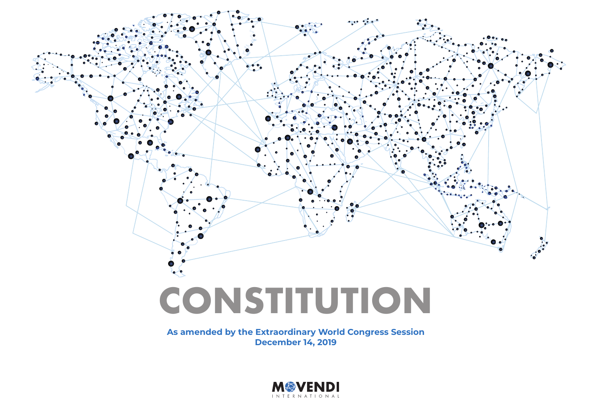

**As amended by the Extraordinary World Congress Session December 14, 2019**

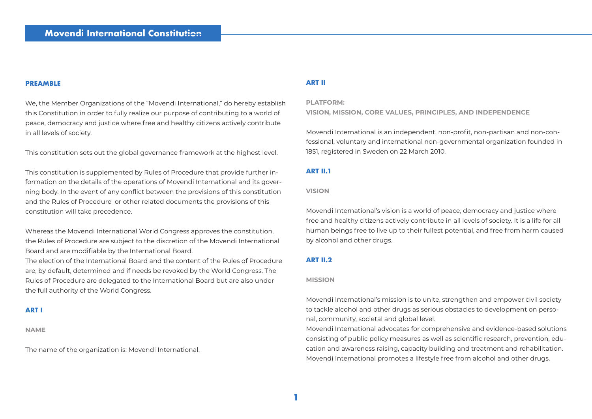## **PREAMBLE**

We, the Member Organizations of the "Movendi International," do hereby establish this Constitution in order to fully realize our purpose of contributing to a world of peace, democracy and justice where free and healthy citizens actively contribute in all levels of society.

This constitution sets out the global governance framework at the highest level.

This constitution is supplemented by Rules of Procedure that provide further information on the details of the operations of Movendi International and its governing body. In the event of any conflict between the provisions of this constitution and the Rules of Procedure or other related documents the provisions of this constitution will take precedence.

Whereas the Movendi International World Congress approves the constitution, the Rules of Procedure are subject to the discretion of the Movendi International Board and are modifiable by the International Board.

The election of the International Board and the content of the Rules of Procedure are, by default, determined and if needs be revoked by the World Congress. The Rules of Procedure are delegated to the International Board but are also under the full authority of the World Congress.

## **ART I**

**NAME**

The name of the organization is: Movendi International.

### **ART II**

### **PLATFORM:**

**VISION, MISSION, CORE VALUES, PRINCIPLES, AND INDEPENDENCE**

Movendi International is an independent, non-profit, non-partisan and non-confessional, voluntary and international non-governmental organization founded in 1851, registered in Sweden on 22 March 2010.

## **ART II.1**

### **VISION**

Movendi International's vision is a world of peace, democracy and justice where free and healthy citizens actively contribute in all levels of society. It is a life for all human beings free to live up to their fullest potential, and free from harm caused by alcohol and other drugs.

## **ART II.2**

#### **MISSION**

Movendi International's mission is to unite, strengthen and empower civil society to tackle alcohol and other drugs as serious obstacles to development on personal, community, societal and global level.

Movendi International advocates for comprehensive and evidence-based solutions consisting of public policy measures as well as scientific research, prevention, education and awareness raising, capacity building and treatment and rehabilitation. Movendi International promotes a lifestyle free from alcohol and other drugs.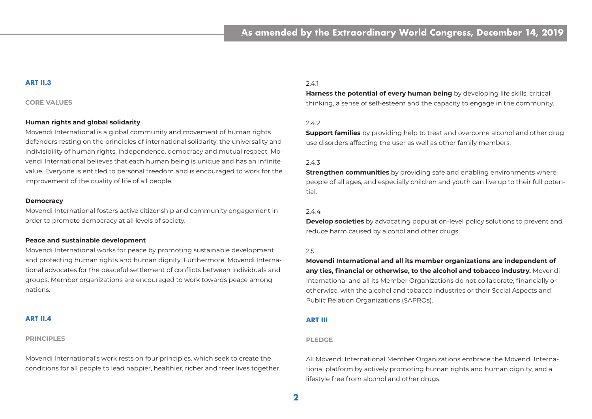## **ART II.3**

### **CORE VALUES**

### **Human rights and global solidarity**

Movendi International is a global community and movement of human rights defenders resting on the principles of international solidarity, the universality and indivisibility of human rights, independence, democracy and mutual respect. Movendi International believes that each human being is unique and has an infinite value. Everyone is entitled to personal freedom and is encouraged to work for the improvement of the quality of life of all people.

### **Democracy**

Movendi International fosters active citizenship and community engagement in order to promote democracy at all levels of society.

### **Peace and sustainable development**

Movendi International works for peace by promoting sustainable development and protecting human rights and human dignity. Furthermore, Movendi International advocates for the peaceful settlement of conflicts between individuals and groups. Member organizations are encouraged to work towards peace among nations.

### **ART II.4**

### **PRINCIPLES**

Movendi International's work rests on four principles, which seek to create the conditions for all people to lead happier, healthier, richer and freer lives together.

## 2.4.1

**Harness the potential of every human being** by developing life skills, critical thinking, a sense of self-esteem and the capacity to engage in the community.

## 2.4.2

**Support families** by providing help to treat and overcome alcohol and other drug use disorders affecting the user as well as other family members.

## 2.4.3

**Strengthen communities** by providing safe and enabling environments where people of all ages, and especially children and youth can live up to their full potential.

## 2.4.4

**Develop societies** by advocating population-level policy solutions to prevent and reduce harm caused by alcohol and other drugs.

## $25$

**Movendi International and all its member organizations are independent of any ties, financial or otherwise, to the alcohol and tobacco industry.** Movendi International and all its Member Organizations do not collaborate, financially or otherwise, with the alcohol and tobacco industries or their Social Aspects and Public Relation Organizations (SAPROs).

### **ART III**

### **PLEDGE**

All Movendi International Member Organizations embrace the Movendi International platform by actively promoting human rights and human dignity, and a lifestyle free from alcohol and other drugs.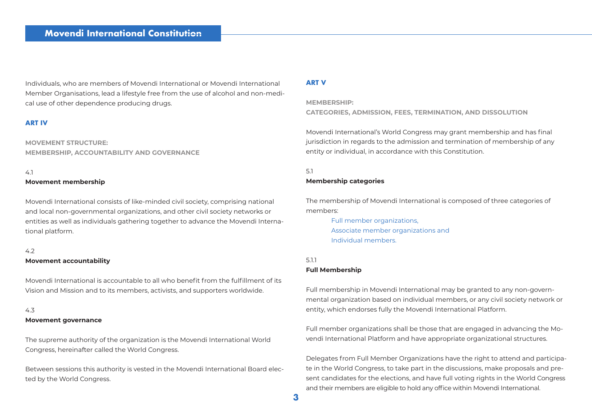Individuals, who are members of Movendi International or Movendi International Member Organisations, lead a lifestyle free from the use of alcohol and non-medical use of other dependence producing drugs.

## **ART IV**

**MOVEMENT STRUCTURE: MEMBERSHIP, ACCOUNTABILITY AND GOVERNANCE**

# 4.1

### **Movement membership**

Movendi International consists of like-minded civil society, comprising national and local non-governmental organizations, and other civil society networks or entities as well as individuals gathering together to advance the Movendi International platform.

### $42$

### **Movement accountability**

Movendi International is accountable to all who benefit from the fulfillment of its Vision and Mission and to its members, activists, and supporters worldwide.

## 4.3

### **Movement governance**

The supreme authority of the organization is the Movendi International World Congress, hereinafter called the World Congress.

Between sessions this authority is vested in the Movendi International Board elected by the World Congress.

### **ART V**

## **MEMBERSHIP:**

**CATEGORIES, ADMISSION, FEES, TERMINATION, AND DISSOLUTION**

Movendi International's World Congress may grant membership and has final jurisdiction in regards to the admission and termination of membership of any entity or individual, in accordance with this Constitution.

### 5.1

### **Membership categories**

The membership of Movendi International is composed of three categories of members:

Full member organizations, Associate member organizations and Individual members.

### 5.1.1

### **Full Membership**

Full membership in Movendi International may be granted to any non-governmental organization based on individual members, or any civil society network or entity, which endorses fully the Movendi International Platform.

Full member organizations shall be those that are engaged in advancing the Movendi International Platform and have appropriate organizational structures.

Delegates from Full Member Organizations have the right to attend and participate in the World Congress, to take part in the discussions, make proposals and present candidates for the elections, and have full voting rights in the World Congress and their members are eligible to hold any office within Movendi International.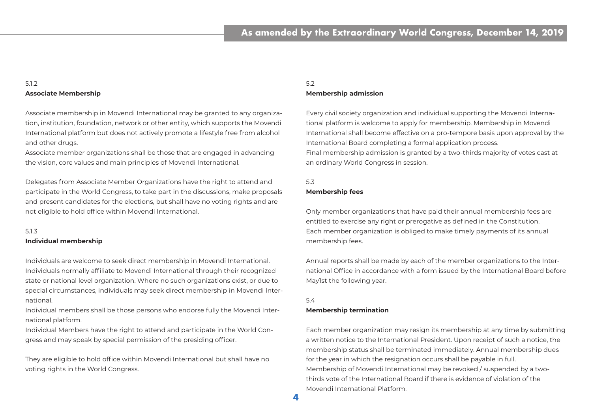## 5.1.2 **Associate Membership**

Associate membership in Movendi International may be granted to any organization, institution, foundation, network or other entity, which supports the Movendi International platform but does not actively promote a lifestyle free from alcohol and other drugs.

Associate member organizations shall be those that are engaged in advancing the vision, core values and main principles of Movendi International.

Delegates from Associate Member Organizations have the right to attend and participate in the World Congress, to take part in the discussions, make proposals and present candidates for the elections, but shall have no voting rights and are not eligible to hold office within Movendi International.

## 5.1.3

### **Individual membership**

Individuals are welcome to seek direct membership in Movendi International. Individuals normally affiliate to Movendi International through their recognized state or national level organization. Where no such organizations exist, or due to special circumstances, individuals may seek direct membership in Movendi International.

Individual members shall be those persons who endorse fully the Movendi International platform.

Individual Members have the right to attend and participate in the World Congress and may speak by special permission of the presiding officer.

They are eligible to hold office within Movendi International but shall have no voting rights in the World Congress.

## 5.2

## **Membership admission**

Every civil society organization and individual supporting the Movendi International platform is welcome to apply for membership. Membership in Movendi International shall become effective on a pro-tempore basis upon approval by the International Board completing a formal application process. Final membership admission is granted by a two-thirds majority of votes cast at an ordinary World Congress in session.

## 5.3 **Membership fees**

Only member organizations that have paid their annual membership fees are entitled to exercise any right or prerogative as defined in the Constitution. Each member organization is obliged to make timely payments of its annual membership fees.

Annual reports shall be made by each of the member organizations to the International Office in accordance with a form issued by the International Board before May1st the following year.

### 5.4

### **Membership termination**

Each member organization may resign its membership at any time by submitting a written notice to the International President. Upon receipt of such a notice, the membership status shall be terminated immediately. Annual membership dues for the year in which the resignation occurs shall be payable in full. Membership of Movendi International may be revoked / suspended by a twothirds vote of the International Board if there is evidence of violation of the Movendi International Platform.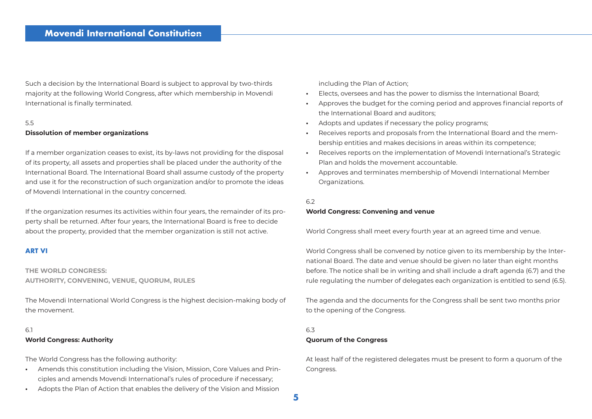Such a decision by the International Board is subject to approval by two-thirds majority at the following World Congress, after which membership in Movendi International is finally terminated.

## 5.5 **Dissolution of member organizations**

If a member organization ceases to exist, its by-laws not providing for the disposal of its property, all assets and properties shall be placed under the authority of the International Board. The International Board shall assume custody of the property and use it for the reconstruction of such organization and/or to promote the ideas of Movendi International in the country concerned.

If the organization resumes its activities within four years, the remainder of its property shall be returned. After four years, the International Board is free to decide about the property, provided that the member organization is still not active.

## **ART VI**

**THE WORLD CONGRESS: AUTHORITY, CONVENING, VENUE, QUORUM, RULES**

The Movendi International World Congress is the highest decision-making body of the movement.

## 6.1 **World Congress: Authority**

The World Congress has the following authority:

- **•** Amends this constitution including the Vision, Mission, Core Values and Principles and amends Movendi International's rules of procedure if necessary;
- **•** Adopts the Plan of Action that enables the delivery of the Vision and Mission

including the Plan of Action;

- **•** Elects, oversees and has the power to dismiss the International Board;
- **•** Approves the budget for the coming period and approves financial reports of the International Board and auditors;
- **•** Adopts and updates if necessary the policy programs;
- **•** Receives reports and proposals from the International Board and the membership entities and makes decisions in areas within its competence;
- **•** Receives reports on the implementation of Movendi International's Strategic Plan and holds the movement accountable.
- **•** Approves and terminates membership of Movendi International Member Organizations.

## 6.2

## **World Congress: Convening and venue**

World Congress shall meet every fourth year at an agreed time and venue.

World Congress shall be convened by notice given to its membership by the International Board. The date and venue should be given no later than eight months before. The notice shall be in writing and shall include a draft agenda (6.7) and the rule regulating the number of delegates each organization is entitled to send (6.5).

The agenda and the documents for the Congress shall be sent two months prior to the opening of the Congress.

# 6.3

## **Quorum of the Congress**

At least half of the registered delegates must be present to form a quorum of the Congress.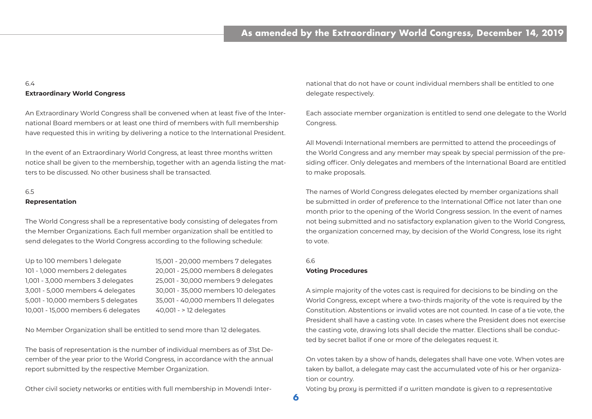## 6.4 **Extraordinary World Congress**

An Extraordinary World Congress shall be convened when at least five of the International Board members or at least one third of members with full membership have requested this in writing by delivering a notice to the International President.

In the event of an Extraordinary World Congress, at least three months written notice shall be given to the membership, together with an agenda listing the matters to be discussed. No other business shall be transacted.

# 6.5

## **Representation**

The World Congress shall be a representative body consisting of delegates from the Member Organizations. Each full member organization shall be entitled to send delegates to the World Congress according to the following schedule:

| Up to 100 members 1 delegate        | 15,001 - 20,000 members 7 delegates  |
|-------------------------------------|--------------------------------------|
| 101 - 1,000 members 2 delegates     | 20,001 - 25,000 members 8 delegates  |
| 1,001 - 3,000 members 3 delegates   | 25,001 - 30,000 members 9 delegates  |
| 3,001 - 5,000 members 4 delegates   | 30,001 - 35,000 members 10 delegates |
| 5,001 - 10,000 members 5 delegates  | 35,001 - 40,000 members 11 delegates |
| 10,001 - 15,000 members 6 delegates | 40,001 - > 12 delegates              |

No Member Organization shall be entitled to send more than 12 delegates.

The basis of representation is the number of individual members as of 31st December of the year prior to the World Congress, in accordance with the annual report submitted by the respective Member Organization.

Other civil society networks or entities with full membership in Movendi Inter-

national that do not have or count individual members shall be entitled to one delegate respectively.

Each associate member organization is entitled to send one delegate to the World Congress.

All Movendi International members are permitted to attend the proceedings of the World Congress and any member may speak by special permission of the presiding officer. Only delegates and members of the International Board are entitled to make proposals.

The names of World Congress delegates elected by member organizations shall be submitted in order of preference to the International Office not later than one month prior to the opening of the World Congress session. In the event of names not being submitted and no satisfactory explanation given to the World Congress, the organization concerned may, by decision of the World Congress, lose its right to vote.

### 6.6

### **Voting Procedures**

A simple majority of the votes cast is required for decisions to be binding on the World Congress, except where a two-thirds majority of the vote is required by the Constitution. Abstentions or invalid votes are not counted. In case of a tie vote, the President shall have a casting vote. In cases where the President does not exercise the casting vote, drawing lots shall decide the matter. Elections shall be conducted by secret ballot if one or more of the delegates request it.

On votes taken by a show of hands, delegates shall have one vote. When votes are taken by ballot, a delegate may cast the accumulated vote of his or her organization or country.

Voting by proxy is permitted if a written mandate is given to a representative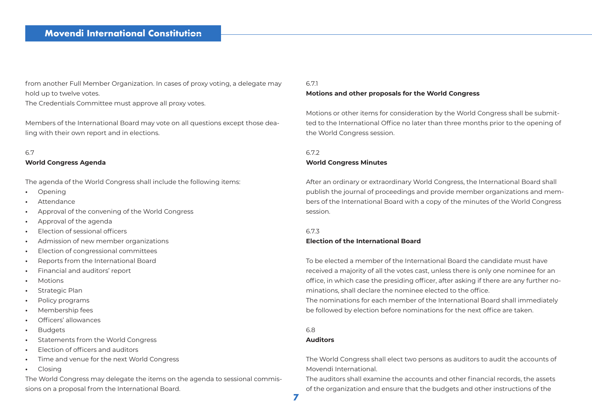from another Full Member Organization. In cases of proxy voting, a delegate may hold up to twelve votes.

The Credentials Committee must approve all proxy votes.

Members of the International Board may vote on all questions except those dealing with their own report and in elections.

### 6.7

### **World Congress Agenda**

The agenda of the World Congress shall include the following items:

- **•** Opening
- **•** Attendance
- **•** Approval of the convening of the World Congress
- **•** Approval of the agenda
- **•** Election of sessional officers
- **•** Admission of new member organizations
- **•** Election of congressional committees
- **•** Reports from the International Board
- **•** Financial and auditors' report
- **•** Motions
- **•** Strategic Plan
- **•** Policy programs
- **•** Membership fees
- **•** Officers' allowances
- **•** Budgets
- **•** Statements from the World Congress
- **•** Election of officers and auditors
- **•** Time and venue for the next World Congress
- **•** Closing

The World Congress may delegate the items on the agenda to sessional commissions on a proposal from the International Board.

## 671

### **Motions and other proposals for the World Congress**

Motions or other items for consideration by the World Congress shall be submitted to the International Office no later than three months prior to the opening of the World Congress session.

## 6.7.2

## **World Congress Minutes**

After an ordinary or extraordinary World Congress, the International Board shall publish the journal of proceedings and provide member organizations and members of the International Board with a copy of the minutes of the World Congress session.

## 6.7.3

## **Election of the International Board**

To be elected a member of the International Board the candidate must have received a majority of all the votes cast, unless there is only one nominee for an office, in which case the presiding officer, after asking if there are any further nominations, shall declare the nominee elected to the office. The nominations for each member of the International Board shall immediately be followed by election before nominations for the next office are taken.

## 6.8

## **Auditors**

The World Congress shall elect two persons as auditors to audit the accounts of Movendi International.

The auditors shall examine the accounts and other financial records, the assets of the organization and ensure that the budgets and other instructions of the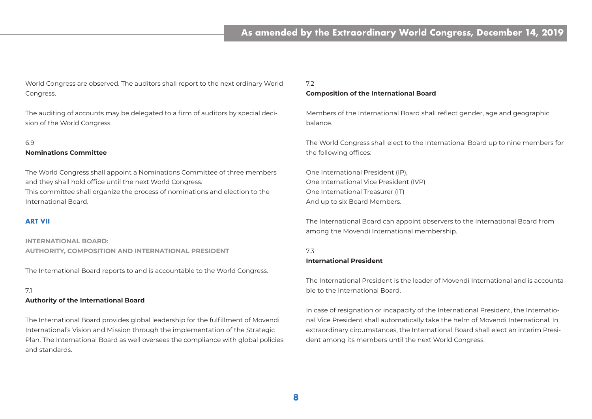World Congress are observed. The auditors shall report to the next ordinary World Congress.

The auditing of accounts may be delegated to a firm of auditors by special decision of the World Congress.

### 6.9

### **Nominations Committee**

The World Congress shall appoint a Nominations Committee of three members and they shall hold office until the next World Congress. This committee shall organize the process of nominations and election to the International Board.

## **ART VII**

**INTERNATIONAL BOARD: AUTHORITY, COMPOSITION AND INTERNATIONAL PRESIDENT**

The International Board reports to and is accountable to the World Congress.

## 7.1

### **Authority of the International Board**

The International Board provides global leadership for the fulfillment of Movendi International's Vision and Mission through the implementation of the Strategic Plan. The International Board as well oversees the compliance with global policies and standards.

## 72

### **Composition of the International Board**

Members of the International Board shall reflect gender, age and geographic balance.

The World Congress shall elect to the International Board up to nine members for the following offices:

One International President (IP), One International Vice President (IVP) One International Treasurer (IT) And up to six Board Members.

The International Board can appoint observers to the International Board from among the Movendi International membership.

## 7.3

## **International President**

The International President is the leader of Movendi International and is accountable to the International Board.

In case of resignation or incapacity of the International President, the International Vice President shall automatically take the helm of Movendi International. In extraordinary circumstances, the International Board shall elect an interim President among its members until the next World Congress.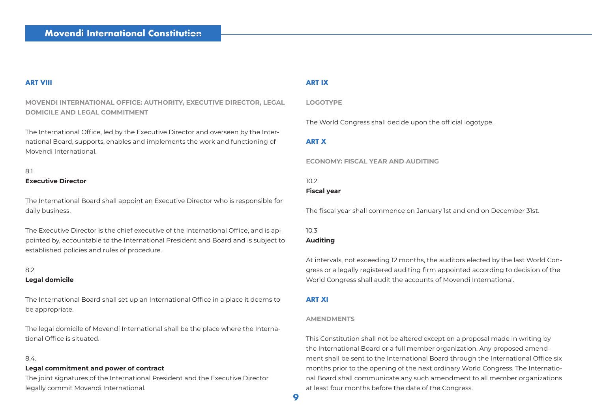## **ART VIII**

## **MOVENDI INTERNATIONAL OFFICE: AUTHORITY, EXECUTIVE DIRECTOR, LEGAL DOMICILE AND LEGAL COMMITMENT**

The International Office, led by the Executive Director and overseen by the International Board, supports, enables and implements the work and functioning of Movendi International.

## 8.1 **Executive Director**

## The International Board shall appoint an Executive Director who is responsible for daily business.

The Executive Director is the chief executive of the International Office, and is appointed by, accountable to the International President and Board and is subject to established policies and rules of procedure.

## 82

## **Legal domicile**

The International Board shall set up an International Office in a place it deems to be appropriate.

The legal domicile of Movendi International shall be the place where the International Office is situated.

## 8.4.

## **Legal commitment and power of contract**

The joint signatures of the International President and the Executive Director legally commit Movendi International.

## **ART IX**

## **LOGOTYPE**

The World Congress shall decide upon the official logotype.

## **ART X**

### **ECONOMY: FISCAL YEAR AND AUDITING**

## 10.2

## **Fiscal year**

The fiscal year shall commence on January 1st and end on December 31st.

# $10.3$

# **Auditing**

At intervals, not exceeding 12 months, the auditors elected by the last World Congress or a legally registered auditing firm appointed according to decision of the World Congress shall audit the accounts of Movendi International.

## **ART XI**

## **AMENDMENTS**

This Constitution shall not be altered except on a proposal made in writing by the International Board or a full member organization. Any proposed amendment shall be sent to the International Board through the International Office six months prior to the opening of the next ordinary World Congress. The International Board shall communicate any such amendment to all member organizations at least four months before the date of the Congress.

**9**